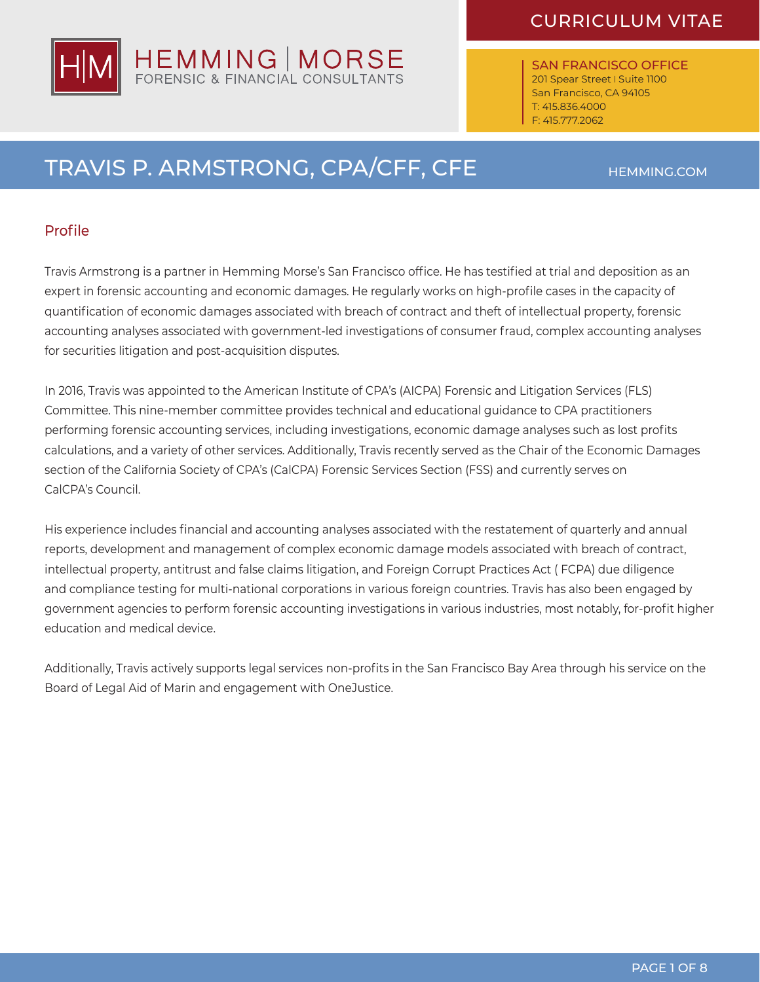SAN FRANCISCO OFFICE 201 Spear Street | Suite 1100 San Francisco, CA 94105 T: 415.836.4000 F: 415.777.2062

# TRAVIS P. ARMSTRONG, CPA/CFF, CFE HEMMING.COM

#### Profile

Travis Armstrong is a partner in Hemming Morse's San Francisco office. He has testified at trial and deposition as an expert in forensic accounting and economic damages. He regularly works on high-profile cases in the capacity of quantification of economic damages associated with breach of contract and theft of intellectual property, forensic accounting analyses associated with government-led investigations of consumer fraud, complex accounting analyses for securities litigation and post-acquisition disputes.

In 2016, Travis was appointed to the American Institute of CPA's (AICPA) Forensic and Litigation Services (FLS) Committee. This nine-member committee provides technical and educational guidance to CPA practitioners performing forensic accounting services, including investigations, economic damage analyses such as lost profits calculations, and a variety of other services. Additionally, Travis recently served as the Chair of the Economic Damages section of the California Society of CPA's (CalCPA) Forensic Services Section (FSS) and currently serves on CalCPA's Council.

His experience includes financial and accounting analyses associated with the restatement of quarterly and annual reports, development and management of complex economic damage models associated with breach of contract, intellectual property, antitrust and false claims litigation, and Foreign Corrupt Practices Act ( FCPA) due diligence and compliance testing for multi-national corporations in various foreign countries. Travis has also been engaged by government agencies to perform forensic accounting investigations in various industries, most notably, for-profit higher education and medical device.

Additionally, Travis actively supports legal services non-profits in the San Francisco Bay Area through his service on the Board of Legal Aid of Marin and engagement with OneJustice.

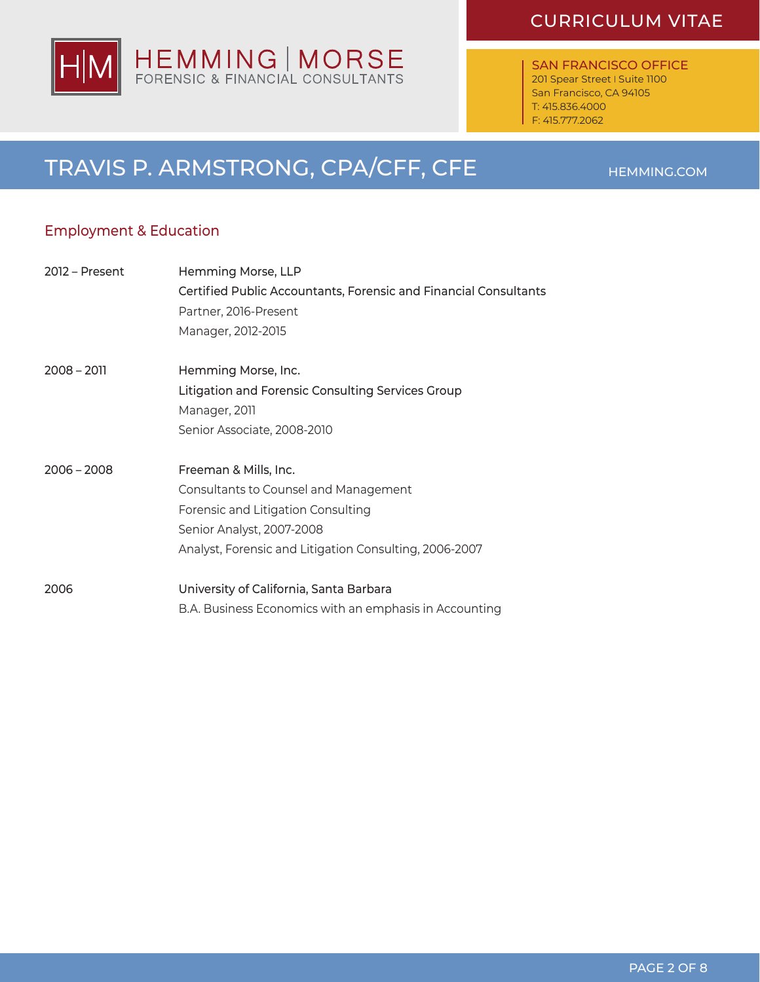

SAN FRANCISCO OFFICE 201 Spear Street I Suite 1100 San Francisco, CA 94105 T: 415.836.4000 F: 415.777.2062

# TRAVIS P. ARMSTRONG, CPA/CFF, CFE HEMMING.COM

#### Employment & Education

| 2012 – Present | Hemming Morse, LLP                                               |
|----------------|------------------------------------------------------------------|
|                | Certified Public Accountants, Forensic and Financial Consultants |
|                | Partner, 2016-Present                                            |
|                | Manager, 2012-2015                                               |
| $2008 - 2011$  | Hemming Morse, Inc.                                              |
|                | Litigation and Forensic Consulting Services Group                |
|                | Manager, 2011                                                    |
|                | Senior Associate, 2008-2010                                      |
| $2006 - 2008$  | Freeman & Mills, Inc.                                            |
|                | Consultants to Counsel and Management                            |
|                | Forensic and Litigation Consulting                               |
|                | Senior Analyst, 2007-2008                                        |
|                | Analyst, Forensic and Litigation Consulting, 2006-2007           |
| 2006           | University of California, Santa Barbara                          |
|                | B.A. Business Economics with an emphasis in Accounting           |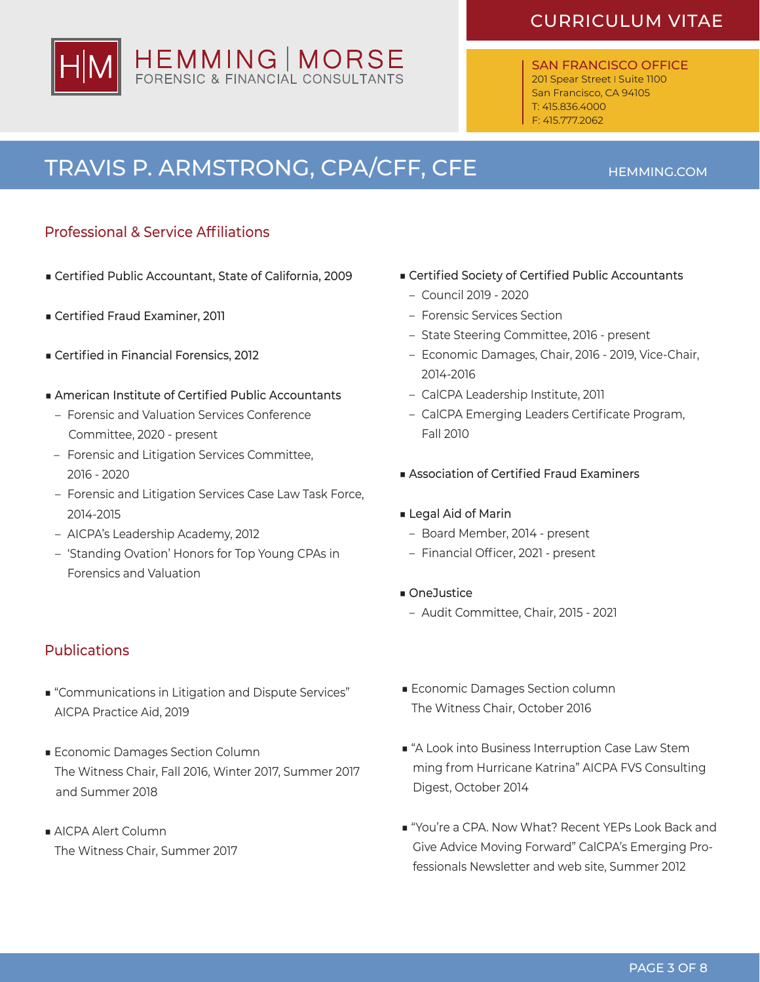SAN FRANCISCO OFFICE 201 Spear Street | Suite 1100 San Francisco, CA 94105 T: 415.836.4000 F: 415.777.2062

# TRAVIS P. ARMSTRONG, CPA/CFF, CFE HEMMING.COM

HEMMING | MORSE

#### Professional & Service Affiliations

- Certified Public Accountant, State of California, 2009
- Certified Fraud Examiner, 2011
- Certified in Financial Forensics, 2012
- American Institute of Certified Public Accountants
	- Forensic and Valuation Services Conference Committee, 2020 - present
- Forensic and Litigation Services Committee, 2016 - 2020
- Forensic and Litigation Services Case Law Task Force, 2014-2015
- AICPA's Leadership Academy, 2012
- 'Standing Ovation' Honors for Top Young CPAs in Forensics and Valuation
- Publications
- "Communications in Litigation and Dispute Services" AICPA Practice Aid, 2019
- Economic Damages Section Column The Witness Chair, Fall 2016, Winter 2017, Summer 2017 and Summer 2018
- AICPA Alert Column The Witness Chair, Summer 2017
- Certified Society of Certified Public Accountants
	- Council 2019 2020
	- Forensic Services Section
	- State Steering Committee, 2016 present
	- Economic Damages, Chair, 2016 2019, Vice-Chair, 2014-2016
	- CalCPA Leadership Institute, 2011
	- CalCPA Emerging Leaders Certificate Program, Fall 2010
- Association of Certified Fraud Examiners

#### ■ Legal Aid of Marin

- Board Member, 2014 present
- Financial Officer, 2021 present
- OneJustice
- Audit Committee, Chair, 2015 2021
- Economic Damages Section column The Witness Chair, October 2016
- "A Look into Business Interruption Case Law Stem ming from Hurricane Katrina" AICPA FVS Consulting Digest, October 2014
- "You're a CPA. Now What? Recent YEPs Look Back and Give Advice Moving Forward" CalCPA's Emerging Professionals Newsletter and web site, Summer 2012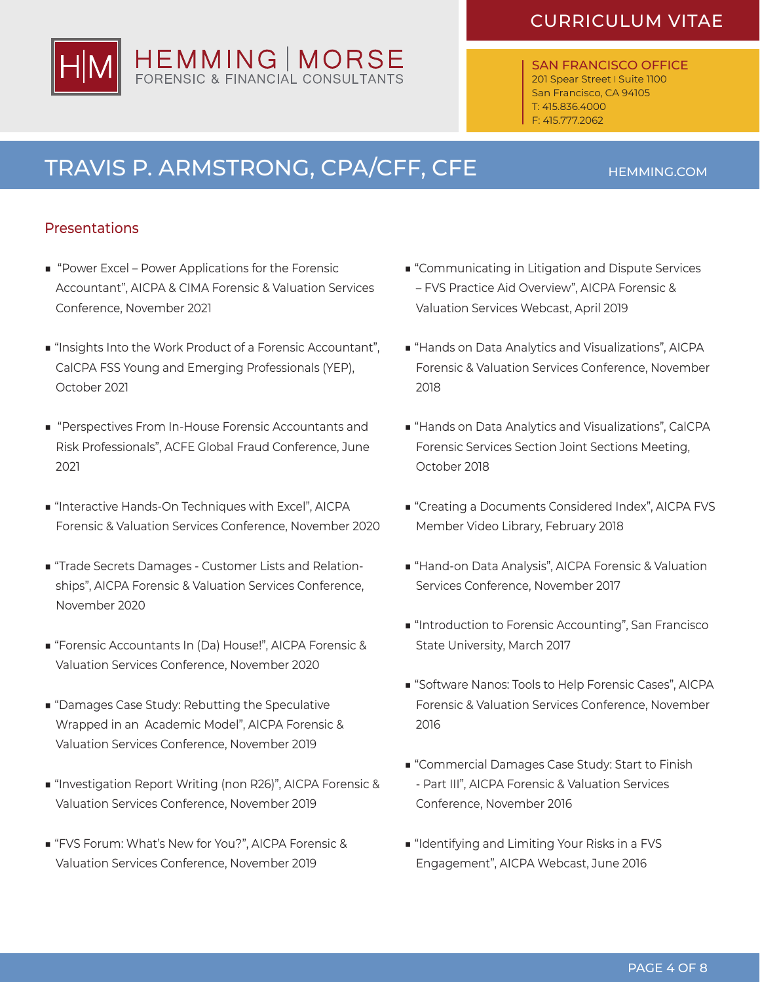SAN FRANCISCO OFFICE 201 Spear Street | Suite 1100 San Francisco, CA 94105 T: 415.836.4000 F: 415.777.2062

# TRAVIS P. ARMSTRONG, CPA/CFF, CFE HEMMING.COM

#### Presentations

- "Power Excel Power Applications for the Forensic Accountant", AICPA & CIMA Forensic & Valuation Services Conference, November 2021
- "Insights Into the Work Product of a Forensic Accountant", CalCPA FSS Young and Emerging Professionals (YEP), October 2021
- "Perspectives From In-House Forensic Accountants and Risk Professionals", ACFE Global Fraud Conference, June 2021
- "Interactive Hands-On Techniques with Excel", AICPA Forensic & Valuation Services Conference, November 2020
- "Trade Secrets Damages Customer Lists and Relationships", AICPA Forensic & Valuation Services Conference, November 2020
- "Forensic Accountants In (Da) House!", AICPA Forensic & Valuation Services Conference, November 2020
- "Damages Case Study: Rebutting the Speculative Wrapped in an Academic Model", AICPA Forensic & Valuation Services Conference, November 2019
- "Investigation Report Writing (non R26)", AICPA Forensic & Valuation Services Conference, November 2019
- "FVS Forum: What's New for You?", AICPA Forensic & Valuation Services Conference, November 2019
- "Communicating in Litigation and Dispute Services – FVS Practice Aid Overview", AICPA Forensic & Valuation Services Webcast, April 2019
- "Hands on Data Analytics and Visualizations", AICPA Forensic & Valuation Services Conference, November 2018
- "Hands on Data Analytics and Visualizations", CalCPA Forensic Services Section Joint Sections Meeting, October 2018
- "Creating a Documents Considered Index", AICPA FVS Member Video Library, February 2018
- "Hand-on Data Analysis", AICPA Forensic & Valuation Services Conference, November 2017
- "Introduction to Forensic Accounting", San Francisco State University, March 2017
- "Software Nanos: Tools to Help Forensic Cases", AICPA Forensic & Valuation Services Conference, November 2016
- "Commercial Damages Case Study: Start to Finish - Part III", AICPA Forensic & Valuation Services Conference, November 2016
- "Identifying and Limiting Your Risks in a FVS Engagement", AICPA Webcast, June 2016

# HEMMING | MORSE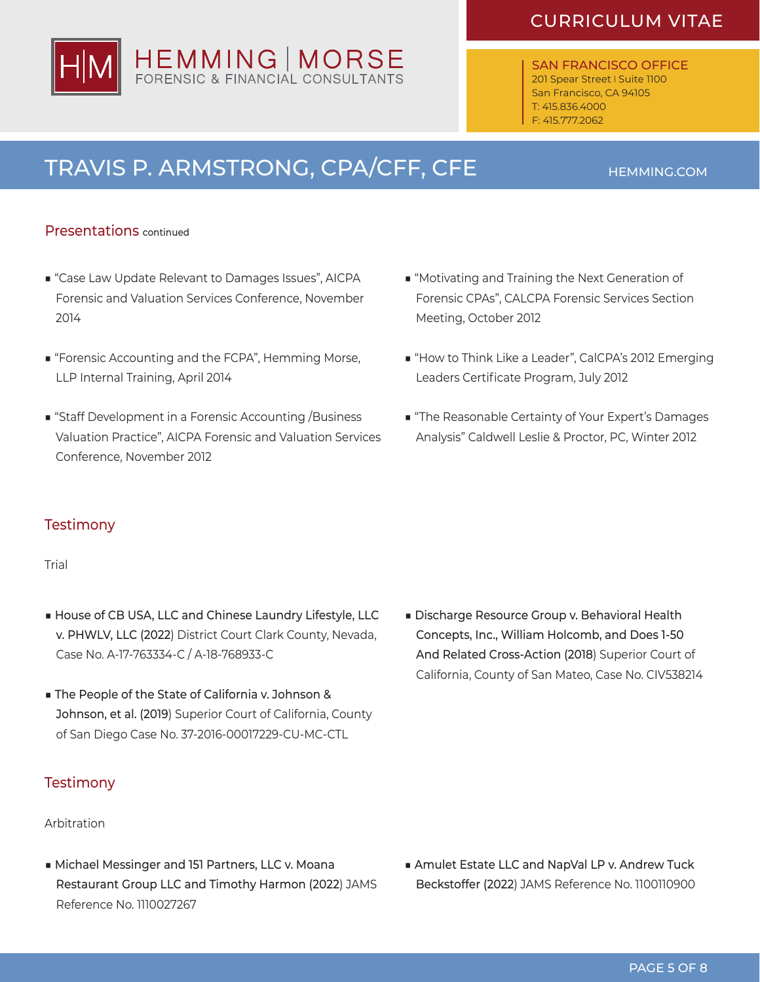SAN FRANCISCO OFFICE 201 Spear Street | Suite 1100 San Francisco, CA 94105 T: 415.836.4000 F: 415.777.2062

# TRAVIS P. ARMSTRONG, CPA/CFF, CFE HEMMING.COM

#### Presentations continued

- "Case Law Update Relevant to Damages Issues", AICPA Forensic and Valuation Services Conference, November 2014
- "Forensic Accounting and the FCPA", Hemming Morse, LLP Internal Training, April 2014
- "Staff Development in a Forensic Accounting /Business Valuation Practice", AICPA Forensic and Valuation Services Conference, November 2012
- "Motivating and Training the Next Generation of Forensic CPAs", CALCPA Forensic Services Section Meeting, October 2012
- "How to Think Like a Leader", CalCPA's 2012 Emerging Leaders Certificate Program, July 2012
- "The Reasonable Certainty of Your Expert's Damages Analysis" Caldwell Leslie & Proctor, PC, Winter 2012

#### **Testimony**

#### Trial

- House of CB USA, LLC and Chinese Laundry Lifestyle, LLC v. PHWLV, LLC (2022) District Court Clark County, Nevada, Case No. A-17-763334-C / A-18-768933-C
- The People of the State of California v. Johnson & Johnson, et al. (2019) Superior Court of California, County of San Diego Case No. 37-2016-00017229-CU-MC-CTL

#### **Testimony**

#### Arbitration

■ Michael Messinger and 151 Partners, LLC v. Moana Restaurant Group LLC and Timothy Harmon (2022) JAMS Reference No. 1110027267

■ Discharge Resource Group v. Behavioral Health Concepts, Inc., William Holcomb, and Does 1-50 And Related Cross-Action (2018) Superior Court of California, County of San Mateo, Case No. CIV538214

■ Amulet Estate LLC and NapVal LP v. Andrew Tuck Beckstoffer (2022) JAMS Reference No. 1100110900

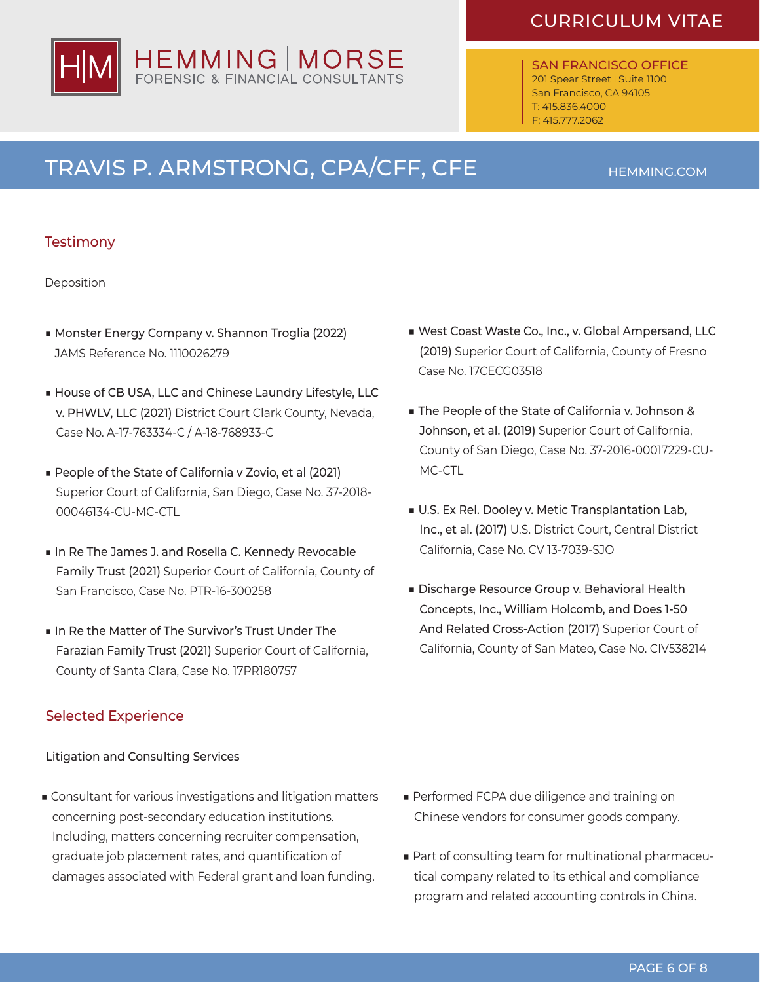SAN FRANCISCO OFFICE 201 Spear Street | Suite 1100 San Francisco, CA 94105 T: 415.836.4000 F: 415.777.2062

# TRAVIS P. ARMSTRONG, CPA/CFF, CFE HEMMING.COM

#### **Testimony**

Deposition

- Monster Energy Company v. Shannon Troglia (2022) JAMS Reference No. 1110026279
- House of CB USA, LLC and Chinese Laundry Lifestyle, LLC v. PHWLV, LLC (2021) District Court Clark County, Nevada, Case No. A-17-763334-C / A-18-768933-C
- People of the State of California v Zovio, et al (2021) Superior Court of California, San Diego, Case No. 37-2018- 00046134-CU-MC-CTL
- In Re The James J. and Rosella C. Kennedy Revocable Family Trust (2021) Superior Court of California, County of San Francisco, Case No. PTR-16-300258
- In Re the Matter of The Survivor's Trust Under The Farazian Family Trust (2021) Superior Court of California, County of Santa Clara, Case No. 17PR180757

#### Selected Experience

Litigation and Consulting Services

■ Consultant for various investigations and litigation matters concerning post-secondary education institutions. Including, matters concerning recruiter compensation, graduate job placement rates, and quantification of damages associated with Federal grant and loan funding.

- West Coast Waste Co., Inc., v. Global Ampersand, LLC (2019) Superior Court of California, County of Fresno Case No. 17CECG03518
- The People of the State of California v. Johnson & Johnson, et al. (2019) Superior Court of California, County of San Diego, Case No. 37-2016-00017229-CU-MC-CTL
- U.S. Ex Rel. Dooley v. Metic Transplantation Lab, Inc., et al. (2017) U.S. District Court, Central District California, Case No. CV 13-7039-SJO
- Discharge Resource Group v. Behavioral Health Concepts, Inc., William Holcomb, and Does 1-50 And Related Cross-Action (2017) Superior Court of California, County of San Mateo, Case No. CIV538214

- Performed FCPA due diligence and training on Chinese vendors for consumer goods company.
- Part of consulting team for multinational pharmaceutical company related to its ethical and compliance program and related accounting controls in China.

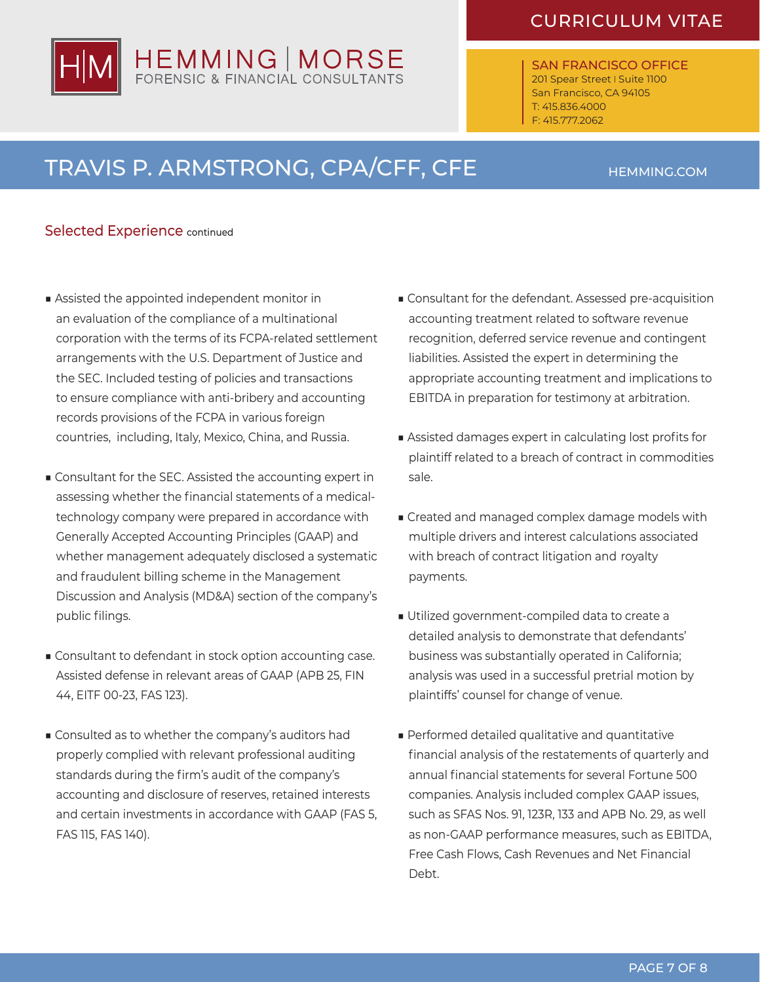SAN FRANCISCO OFFICE 201 Spear Street | Suite 1100 San Francisco, CA 94105 T: 415.836.4000 F: 415.777.2062

# TRAVIS P. ARMSTRONG, CPA/CFF, CFE HEMMING.COM

HEMMING | MORSE

#### Selected Experience continued

- Assisted the appointed independent monitor in an evaluation of the compliance of a multinational corporation with the terms of its FCPA-related settlement arrangements with the U.S. Department of Justice and the SEC. Included testing of policies and transactions to ensure compliance with anti-bribery and accounting records provisions of the FCPA in various foreign countries, including, Italy, Mexico, China, and Russia.
- Consultant for the SEC. Assisted the accounting expert in assessing whether the financial statements of a medicaltechnology company were prepared in accordance with Generally Accepted Accounting Principles (GAAP) and whether management adequately disclosed a systematic and fraudulent billing scheme in the Management Discussion and Analysis (MD&A) section of the company's public filings.
- Consultant to defendant in stock option accounting case. Assisted defense in relevant areas of GAAP (APB 25, FIN 44, EITF 00-23, FAS 123).
- Consulted as to whether the company's auditors had properly complied with relevant professional auditing standards during the firm's audit of the company's accounting and disclosure of reserves, retained interests and certain investments in accordance with GAAP (FAS 5, FAS 115, FAS 140).
- Consultant for the defendant. Assessed pre-acquisition accounting treatment related to software revenue recognition, deferred service revenue and contingent liabilities. Assisted the expert in determining the appropriate accounting treatment and implications to EBITDA in preparation for testimony at arbitration.
- Assisted damages expert in calculating lost profits for plaintiff related to a breach of contract in commodities sale.
- Created and managed complex damage models with multiple drivers and interest calculations associated with breach of contract litigation and royalty payments.
- Utilized government-compiled data to create a detailed analysis to demonstrate that defendants' business was substantially operated in California; analysis was used in a successful pretrial motion by plaintiffs' counsel for change of venue.
- Performed detailed qualitative and quantitative financial analysis of the restatements of quarterly and annual financial statements for several Fortune 500 companies. Analysis included complex GAAP issues, such as SFAS Nos. 91, 123R, 133 and APB No. 29, as well as non-GAAP performance measures, such as EBITDA, Free Cash Flows, Cash Revenues and Net Financial Debt.